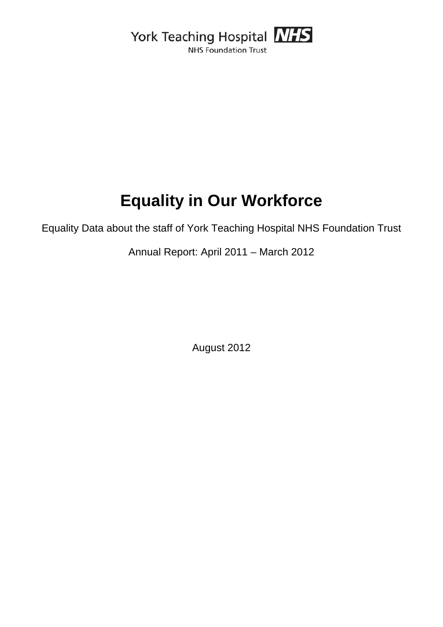York Teaching Hospital NHS **NHS Foundation Trust** 

# **Equality in Our Workforce**

Equality Data about the staff of York Teaching Hospital NHS Foundation Trust

Annual Report: April 2011 – March 2012

August 2012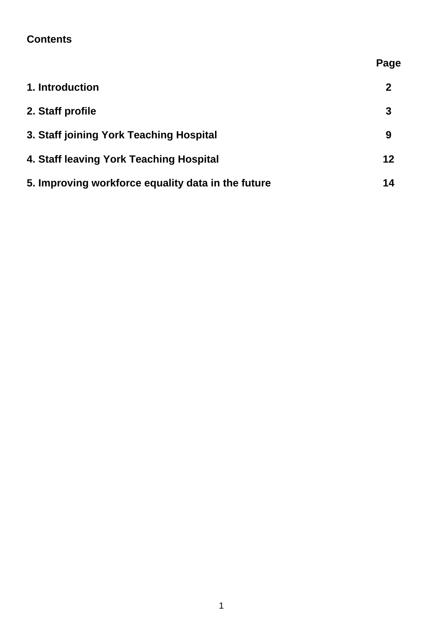## **Contents**

|                                                    | Page         |
|----------------------------------------------------|--------------|
| 1. Introduction                                    | $\mathbf{2}$ |
| 2. Staff profile                                   | 3            |
| 3. Staff joining York Teaching Hospital            | 9            |
| 4. Staff leaving York Teaching Hospital            | 12           |
| 5. Improving workforce equality data in the future | 14           |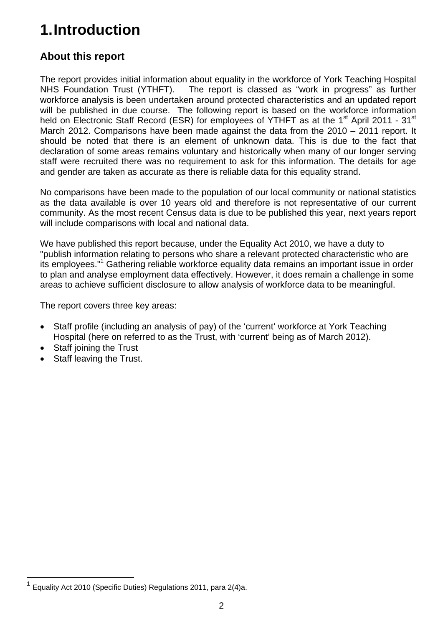# **1. Introduction**

## **About this report**

The report provides initial information about equality in the workforce of York Teaching Hospital NHS Foundation Trust (YTHFT). The report is classed as "work in progress" as further workforce analysis is been undertaken around protected characteristics and an updated report will be published in due course. The following report is based on the workforce information held on Electronic Staff Record (ESR) for employees of YTHFT as at the 1<sup>st</sup> April 2011 - 31<sup>st</sup> March 2012. Comparisons have been made against the data from the 2010 – 2011 report. It should be noted that there is an element of unknown data. This is due to the fact that declaration of some areas remains voluntary and historically when many of our longer serving staff were recruited there was no requirement to ask for this information. The details for age and gender are taken as accurate as there is reliable data for this equality strand.

No comparisons have been made to the population of our local community or national statistics as the data available is over 10 years old and therefore is not representative of our current community. As the most recent Census data is due to be published this year, next years report will include comparisons with local and national data.

We have published this report because, under the Equality Act 2010, we have a duty to "publish information relating to persons who share a relevant protected characteristic who are its employees."<sup>1</sup> Gathering reliable workforce equality data remains an important issue in order to plan and analyse employment data effectively. However, it does remain a challenge in some areas to achieve sufficient disclosure to allow analysis of workforce data to be meaningful.

The report covers three key areas:

- Staff profile (including an analysis of pay) of the 'current' workforce at York Teaching Hospital (here on referred to as the Trust, with 'current' being as of March 2012).
- Staff joining the Trust

1

Staff leaving the Trust.

<sup>1</sup> Equality Act 2010 (Specific Duties) Regulations 2011, para 2(4)a.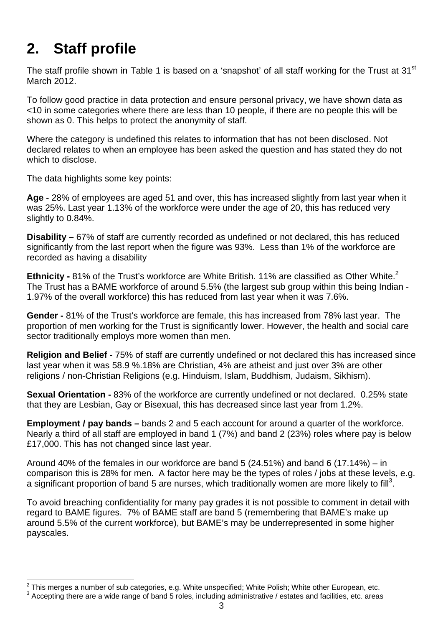# **2. Staff profile**

The staff profile shown in Table 1 is based on a 'snapshot' of all staff working for the Trust at 31<sup>st</sup> March 2012.

To follow good practice in data protection and ensure personal privacy, we have shown data as <10 in some categories where there are less than 10 people, if there are no people this will be shown as 0. This helps to protect the anonymity of staff.

Where the category is undefined this relates to information that has not been disclosed. Not declared relates to when an employee has been asked the question and has stated they do not which to disclose.

The data highlights some key points:

**Age -** 28% of employees are aged 51 and over, this has increased slightly from last year when it was 25%. Last year 1.13% of the workforce were under the age of 20, this has reduced very slightly to 0.84%.

**Disability –** 67% of staff are currently recorded as undefined or not declared, this has reduced significantly from the last report when the figure was 93%. Less than 1% of the workforce are recorded as having a disability

**Ethnicity -** 81% of the Trust's workforce are White British. 11% are classified as Other White.<sup>2</sup> The Trust has a BAME workforce of around 5.5% (the largest sub group within this being Indian - 1.97% of the overall workforce) this has reduced from last year when it was 7.6%.

**Gender -** 81% of the Trust's workforce are female, this has increased from 78% last year. The proportion of men working for the Trust is significantly lower. However, the health and social care sector traditionally employs more women than men.

**Religion and Belief -** 75% of staff are currently undefined or not declared this has increased since last year when it was 58.9 %.18% are Christian, 4% are atheist and just over 3% are other religions / non-Christian Religions (e.g. Hinduism, Islam, Buddhism, Judaism, Sikhism).

**Sexual Orientation -** 83% of the workforce are currently undefined or not declared. 0.25% state that they are Lesbian, Gay or Bisexual, this has decreased since last year from 1.2%.

**Employment / pay bands –** bands 2 and 5 each account for around a quarter of the workforce. Nearly a third of all staff are employed in band 1 (7%) and band 2 (23%) roles where pay is below £17,000. This has not changed since last year.

Around 40% of the females in our workforce are band 5 (24.51%) and band 6 (17.14%) – in comparison this is 28% for men. A factor here may be the types of roles / jobs at these levels, e.g. a significant proportion of band 5 are nurses, which traditionally women are more likely to fill<sup>3</sup>.

To avoid breaching confidentiality for many pay grades it is not possible to comment in detail with regard to BAME figures. 7% of BAME staff are band 5 (remembering that BAME's make up around 5.5% of the current workforce), but BAME's may be underrepresented in some higher payscales.

This merges a number of sub categories, e.g. White unspecified; White Polish; White other European, etc.<br><sup>3</sup> Appenting there are a wide range of band 5 releg including administrative (estates and fecilities, ats areas

<sup>&</sup>lt;sup>3</sup> Accepting there are a wide range of band 5 roles, including administrative / estates and facilities, etc. areas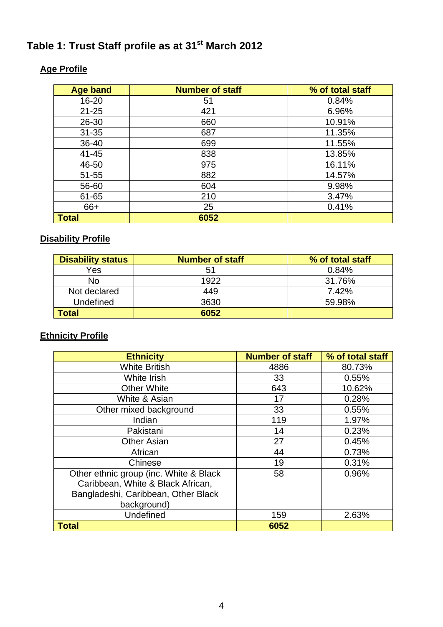## Table 1: Trust Staff profile as at 31<sup>st</sup> March 2012

| <b>Age band</b> | <b>Number of staff</b> | % of total staff |
|-----------------|------------------------|------------------|
| 16-20           | 51                     | 0.84%            |
| $21 - 25$       | 421                    | 6.96%            |
| 26-30           | 660                    | 10.91%           |
| $31 - 35$       | 687                    | 11.35%           |
| 36-40           | 699                    | 11.55%           |
| $41 - 45$       | 838                    | 13.85%           |
| 46-50           | 975                    | 16.11%           |
| $51 - 55$       | 882                    | 14.57%           |
| 56-60           | 604                    | 9.98%            |
| 61-65           | 210                    | 3.47%            |
| 66+             | 25                     | 0.41%            |
| <b>Total</b>    | 6052                   |                  |

## **Age Profile**

## **Disability Profile**

| <b>Disability status</b> | <b>Number of staff</b> | % of total staff |
|--------------------------|------------------------|------------------|
| Yes                      | 51                     | 0.84%            |
| <b>No</b>                | 1922                   | 31.76%           |
| Not declared             | 449                    | 7.42%            |
| <b>Undefined</b>         | 3630                   | 59.98%           |
| <b>Total</b>             | 6052                   |                  |

## **Ethnicity Profile**

| <b>Ethnicity</b>                       | <b>Number of staff</b> | % of total staff |
|----------------------------------------|------------------------|------------------|
| <b>White British</b>                   | 4886                   | 80.73%           |
| White Irish                            | 33                     | 0.55%            |
| <b>Other White</b>                     | 643                    | 10.62%           |
| White & Asian                          | 17                     | 0.28%            |
| Other mixed background                 | 33                     | 0.55%            |
| Indian                                 | 119                    | 1.97%            |
| Pakistani                              | 14                     | 0.23%            |
| <b>Other Asian</b>                     | 27                     | 0.45%            |
| African                                | 44                     | 0.73%            |
| Chinese                                | 19                     | 0.31%            |
| Other ethnic group (inc. White & Black | 58                     | 0.96%            |
| Caribbean, White & Black African,      |                        |                  |
| Bangladeshi, Caribbean, Other Black    |                        |                  |
| background)                            |                        |                  |
| Undefined                              | 159                    | 2.63%            |
| <b>Total</b>                           | 6052                   |                  |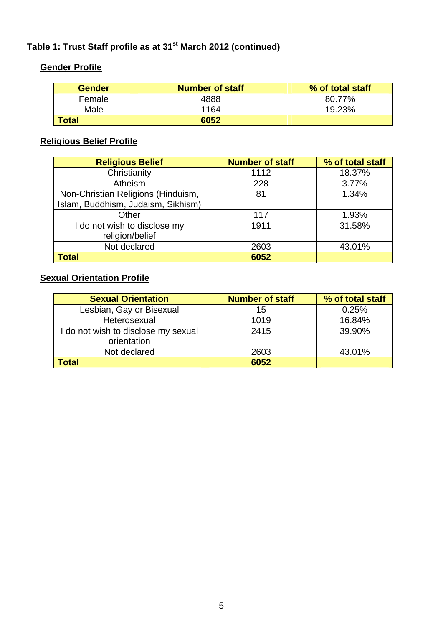## **Gender Profile**

| <b>Gender</b> | <b>Number of staff</b> | % of total staff |
|---------------|------------------------|------------------|
| Female        | 4888                   | 80.77%           |
| Male          | 1164                   | 19.23%           |
| Total         | 6052                   |                  |

## **Religious Belief Profile**

| <b>Religious Belief</b>            | <b>Number of staff</b> | % of total staff |
|------------------------------------|------------------------|------------------|
| Christianity                       | 1112                   | 18.37%           |
| Atheism                            | 228                    | 3.77%            |
| Non-Christian Religions (Hinduism, | 81                     | 1.34%            |
| Islam, Buddhism, Judaism, Sikhism) |                        |                  |
| Other                              | 117                    | 1.93%            |
| I do not wish to disclose my       | 1911                   | 31.58%           |
| religion/belief                    |                        |                  |
| Not declared                       | 2603                   | 43.01%           |
| <b>Total</b>                       | 6052                   |                  |

## **Sexual Orientation Profile**

| <b>Sexual Orientation</b>                          | <b>Number of staff</b> | % of total staff |
|----------------------------------------------------|------------------------|------------------|
| Lesbian, Gay or Bisexual                           | 15                     | 0.25%            |
| Heterosexual                                       | 1019                   | 16.84%           |
| I do not wish to disclose my sexual<br>orientation | 2415                   | 39.90%           |
| Not declared                                       | 2603                   | 43.01%           |
| <b>Total</b>                                       | 6052                   |                  |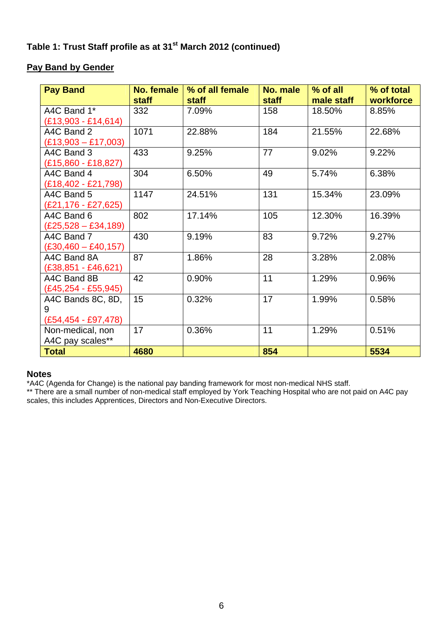#### **Pay Band by Gender**

| <b>Pay Band</b>         | <b>No. female</b><br><b>staff</b> | % of all female<br><b>staff</b> | No. male<br><b>staff</b> | $%$ of all<br>male staff | % of total<br>workforce |
|-------------------------|-----------------------------------|---------------------------------|--------------------------|--------------------------|-------------------------|
| A4C Band 1*             | 332                               | 7.09%                           | 158                      | 18.50%                   | 8.85%                   |
| $(E13,903 - E14,614)$   |                                   |                                 |                          |                          |                         |
| A4C Band 2              | 1071                              | 22.88%                          | 184                      | 21.55%                   | 22.68%                  |
| $(E13,903 - E17,003)$   |                                   |                                 |                          |                          |                         |
| A4C Band 3              | 433                               | 9.25%                           | 77                       | 9.02%                    | 9.22%                   |
| $(E15,860 - E18,827)$   |                                   |                                 |                          |                          |                         |
| A4C Band 4              | 304                               | 6.50%                           | 49                       | 5.74%                    | 6.38%                   |
| $(E18, 402 - E21, 798)$ |                                   |                                 |                          |                          |                         |
| A4C Band 5              | 1147                              | 24.51%                          | 131                      | 15.34%                   | 23.09%                  |
| $(E21, 176 - E27, 625)$ |                                   |                                 |                          |                          |                         |
| A4C Band 6              | 802                               | 17.14%                          | 105                      | 12.30%                   | 16.39%                  |
| $(E25,528 - E34,189)$   |                                   |                                 |                          |                          |                         |
| A4C Band 7              | 430                               | 9.19%                           | 83                       | 9.72%                    | 9.27%                   |
| $(E30,460 - E40,157)$   |                                   |                                 |                          |                          |                         |
| A4C Band 8A             | 87                                | 1.86%                           | 28                       | 3.28%                    | 2.08%                   |
| $(E38, 851 - E46, 621)$ |                                   |                                 |                          |                          |                         |
| A4C Band 8B             | 42                                | 0.90%                           | 11                       | 1.29%                    | 0.96%                   |
| $(E45, 254 - E55, 945)$ |                                   |                                 |                          |                          |                         |
| A4C Bands 8C, 8D,       | 15                                | 0.32%                           | 17                       | 1.99%                    | 0.58%                   |
| 9                       |                                   |                                 |                          |                          |                         |
| $(E54, 454 - E97, 478)$ |                                   |                                 |                          |                          |                         |
| Non-medical, non        | 17                                | 0.36%                           | 11                       | 1.29%                    | 0.51%                   |
| A4C pay scales**        |                                   |                                 |                          |                          |                         |
| <b>Total</b>            | 4680                              |                                 | 854                      |                          | 5534                    |

#### **Notes**

\*A4C (Agenda for Change) is the national pay banding framework for most non-medical NHS staff.

\*\* There are a small number of non-medical staff employed by York Teaching Hospital who are not paid on A4C pay scales, this includes Apprentices, Directors and Non-Executive Directors.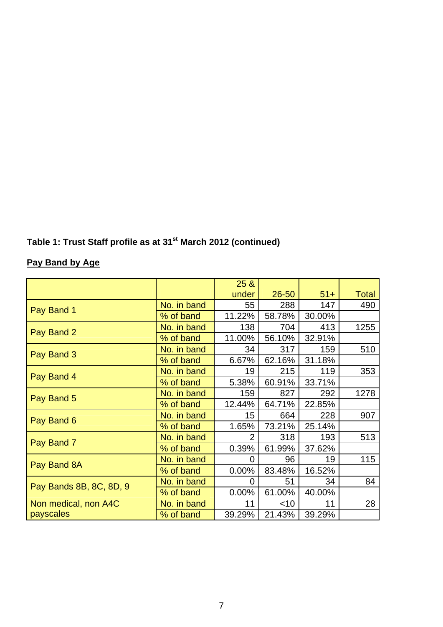## **Pay Band by Age**

|                         |             | 25 &   |           |        |              |
|-------------------------|-------------|--------|-----------|--------|--------------|
|                         |             | under  | $26 - 50$ | $51+$  | <b>Total</b> |
|                         | No. in band | 55     | 288       | 147    | 490          |
| Pay Band 1              | % of band   | 11.22% | 58.78%    | 30.00% |              |
|                         | No. in band | 138    | 704       | 413    | 1255         |
| Pay Band 2              | % of band   | 11.00% | 56.10%    | 32.91% |              |
| Pay Band 3              | No. in band | 34     | 317       | 159    | 510          |
|                         | % of band   | 6.67%  | 62.16%    | 31.18% |              |
| Pay Band 4              | No. in band | 19     | 215       | 119    | 353          |
|                         | % of band   | 5.38%  | 60.91%    | 33.71% |              |
| Pay Band 5              | No. in band | 159    | 827       | 292    | 1278         |
|                         | % of band   | 12.44% | 64.71%    | 22.85% |              |
| Pay Band 6              | No. in band | 15     | 664       | 228    | 907          |
|                         | % of band   | 1.65%  | 73.21%    | 25.14% |              |
| Pay Band 7              | No. in band | 2      | 318       | 193    | 513          |
|                         | % of band   | 0.39%  | 61.99%    | 37.62% |              |
| Pay Band 8A             | No. in band | 0      | 96        | 19     | 115          |
|                         | % of band   | 0.00%  | 83.48%    | 16.52% |              |
| Pay Bands 8B, 8C, 8D, 9 | No. in band | 0      | 51        | 34     | 84           |
|                         | % of band   | 0.00%  | 61.00%    | 40.00% |              |
| Non medical, non A4C    | No. in band | 11     | $<$ 10    | 11     | 28           |
| payscales               | % of band   | 39.29% | 21.43%    | 39.29% |              |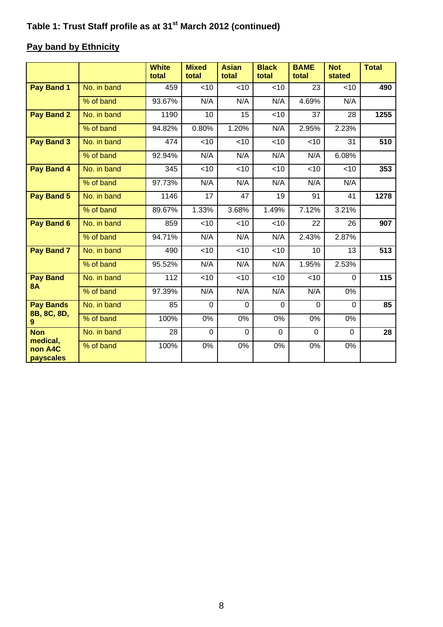## **Pay band by Ethnicity**

|                              |             | <b>White</b><br>total | <b>Mixed</b><br>total | <b>Asian</b><br>total | <b>Black</b><br>total | <b>BAME</b><br>total | <b>Not</b><br>stated | <b>Total</b> |
|------------------------------|-------------|-----------------------|-----------------------|-----------------------|-----------------------|----------------------|----------------------|--------------|
| Pay Band 1                   | No. in band | 459                   | <10                   | <10                   | <10                   | 23                   | <10                  | 490          |
|                              | % of band   | 93.67%                | N/A                   | N/A                   | N/A                   | 4.69%                | N/A                  |              |
| <b>Pay Band 2</b>            | No. in band | 1190                  | 10                    | 15                    | $<$ 10                | 37                   | 28                   | 1255         |
|                              | % of band   | 94.82%                | 0.80%                 | 1.20%                 | N/A                   | 2.95%                | 2.23%                |              |
| Pay Band 3                   | No. in band | 474                   | < 10                  | $<$ 10                | $<$ 10                | $<$ 10               | 31                   | 510          |
|                              | % of band   | 92.94%                | N/A                   | N/A                   | N/A                   | N/A                  | 6.08%                |              |
| Pay Band 4                   | No. in band | 345                   | < 10                  | <10                   | <10                   | <10                  | <10                  | 353          |
|                              | % of band   | 97.73%                | N/A                   | N/A                   | N/A                   | N/A                  | N/A                  |              |
| Pay Band 5                   | No. in band | 1146                  | 17                    | 47                    | 19                    | 91                   | 41                   | 1278         |
|                              | % of band   | 89.67%                | 1.33%                 | 3.68%                 | 1.49%                 | 7.12%                | 3.21%                |              |
| Pay Band 6                   | No. in band | 859                   | $<$ 10                | $<$ 10                | <10                   | 22                   | 26                   | 907          |
|                              | % of band   | 94.71%                | N/A                   | N/A                   | N/A                   | 2.43%                | 2.87%                |              |
| Pay Band 7                   | No. in band | 490                   | < 10                  | <10                   | <10                   | 10                   | 13                   | 513          |
|                              | % of band   | 95.52%                | N/A                   | N/A                   | N/A                   | 1.95%                | 2.53%                |              |
| <b>Pay Band</b><br><b>8A</b> | No. in band | 112                   | <10                   | <10                   | <10                   | <10                  | $\mathbf{0}$         | 115          |
|                              | % of band   | 97.39%                | N/A                   | N/A                   | N/A                   | N/A                  | 0%                   |              |
| <b>Pay Bands</b>             | No. in band | 85                    | $\overline{0}$        | $\Omega$              | $\mathbf 0$           | $\overline{0}$       | $\overline{0}$       | 85           |
| 8B, 8C, 8D,<br>9             | % of band   | 100%                  | 0%                    | 0%                    | 0%                    | 0%                   | 0%                   |              |
| <b>Non</b><br>medical,       | No. in band | 28                    | $\mathbf 0$           | $\mathbf 0$           | $\mathbf 0$           | $\mathbf 0$          | $\mathbf 0$          | 28           |
| non A4C<br>payscales         | % of band   | 100%                  | 0%                    | 0%                    | 0%                    | 0%                   | 0%                   |              |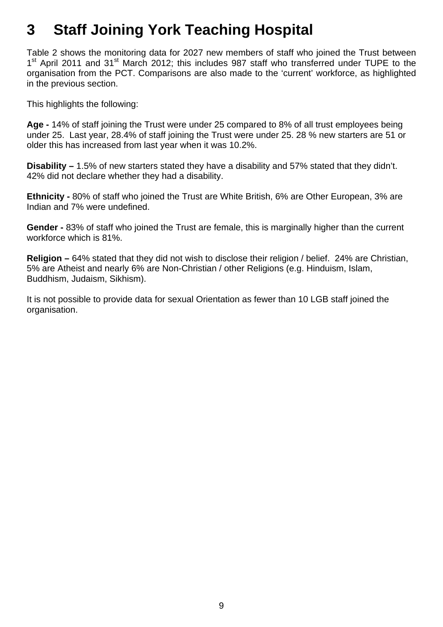# **3 Staff Joining York Teaching Hospital**

Table 2 shows the monitoring data for 2027 new members of staff who joined the Trust between 1<sup>st</sup> April 2011 and 31<sup>st</sup> March 2012; this includes 987 staff who transferred under TUPE to the organisation from the PCT. Comparisons are also made to the 'current' workforce, as highlighted in the previous section.

This highlights the following:

**Age -** 14% of staff joining the Trust were under 25 compared to 8% of all trust employees being under 25. Last year, 28.4% of staff joining the Trust were under 25. 28 % new starters are 51 or older this has increased from last year when it was 10.2%.

**Disability –** 1.5% of new starters stated they have a disability and 57% stated that they didn't. 42% did not declare whether they had a disability.

**Ethnicity -** 80% of staff who joined the Trust are White British, 6% are Other European, 3% are Indian and 7% were undefined.

**Gender -** 83% of staff who joined the Trust are female, this is marginally higher than the current workforce which is 81%.

**Religion –** 64% stated that they did not wish to disclose their religion / belief. 24% are Christian, 5% are Atheist and nearly 6% are Non-Christian / other Religions (e.g. Hinduism, Islam, Buddhism, Judaism, Sikhism).

It is not possible to provide data for sexual Orientation as fewer than 10 LGB staff joined the organisation.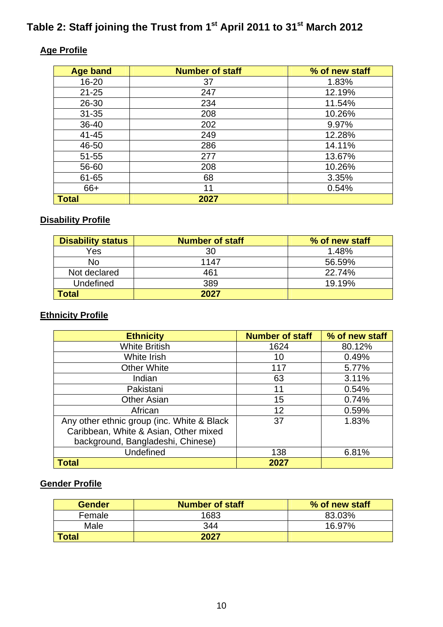## Table 2: Staff joining the Trust from 1<sup>st</sup> April 2011 to 31<sup>st</sup> March 2012

## **Age Profile**

| <b>Age band</b> | <b>Number of staff</b> | % of new staff |
|-----------------|------------------------|----------------|
| $16 - 20$       | 37                     | 1.83%          |
| $21 - 25$       | 247                    | 12.19%         |
| 26-30           | 234                    | 11.54%         |
| $31 - 35$       | 208                    | 10.26%         |
| 36-40           | 202                    | 9.97%          |
| $41 - 45$       | 249                    | 12.28%         |
| 46-50           | 286                    | 14.11%         |
| $51 - 55$       | 277                    | 13.67%         |
| 56-60           | 208                    | 10.26%         |
| 61-65           | 68                     | 3.35%          |
| 66+             | 11                     | 0.54%          |
| <b>Total</b>    | 2027                   |                |

## **Disability Profile**

| <b>Disability status</b> | <b>Number of staff</b> | % of new staff |
|--------------------------|------------------------|----------------|
| Yes                      | 30                     | 1.48%          |
| No                       | 1147                   | 56.59%         |
| Not declared             | 461                    | 22.74%         |
| Undefined                | 389                    | 19.19%         |
| Total                    | 2027                   |                |

## **Ethnicity Profile**

| <b>Ethnicity</b>                           | <b>Number of staff</b> | % of new staff |
|--------------------------------------------|------------------------|----------------|
| <b>White British</b>                       | 1624                   | 80.12%         |
| White Irish                                | 10                     | 0.49%          |
| <b>Other White</b>                         | 117                    | 5.77%          |
| Indian                                     | 63                     | 3.11%          |
| Pakistani                                  | 11                     | 0.54%          |
| <b>Other Asian</b>                         | 15                     | 0.74%          |
| African                                    | 12                     | 0.59%          |
| Any other ethnic group (inc. White & Black | 37                     | 1.83%          |
| Caribbean, White & Asian, Other mixed      |                        |                |
| background, Bangladeshi, Chinese)          |                        |                |
| <b>Undefined</b>                           | 138                    | 6.81%          |
| <b>Total</b>                               | 2027                   |                |

#### **Gender Profile**

| Gender | <b>Number of staff</b> | % of new staff |
|--------|------------------------|----------------|
| Female | 1683                   | 83.03%         |
| Male   | 344                    | 16.97%         |
| Total  | 2027                   |                |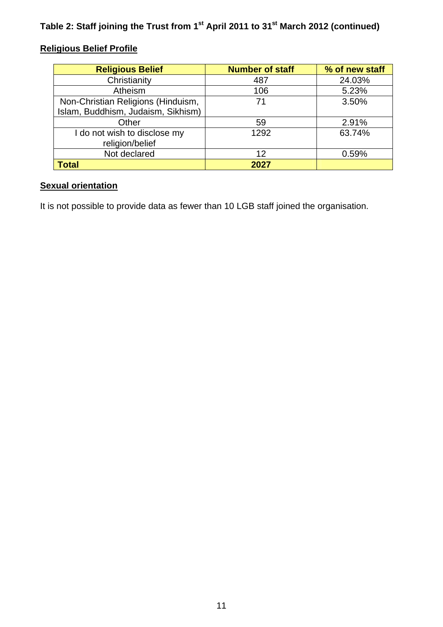## **Religious Belief Profile**

| <b>Religious Belief</b>            | <b>Number of staff</b> | % of new staff |
|------------------------------------|------------------------|----------------|
| Christianity                       | 487                    | 24.03%         |
| Atheism                            | 106                    | 5.23%          |
| Non-Christian Religions (Hinduism, | 71                     | 3.50%          |
| Islam, Buddhism, Judaism, Sikhism) |                        |                |
| Other                              | 59                     | 2.91%          |
| I do not wish to disclose my       | 1292                   | 63.74%         |
| religion/belief                    |                        |                |
| Not declared                       | 12                     | 0.59%          |
| <b>Total</b>                       | 2027                   |                |

## **Sexual orientation**

It is not possible to provide data as fewer than 10 LGB staff joined the organisation.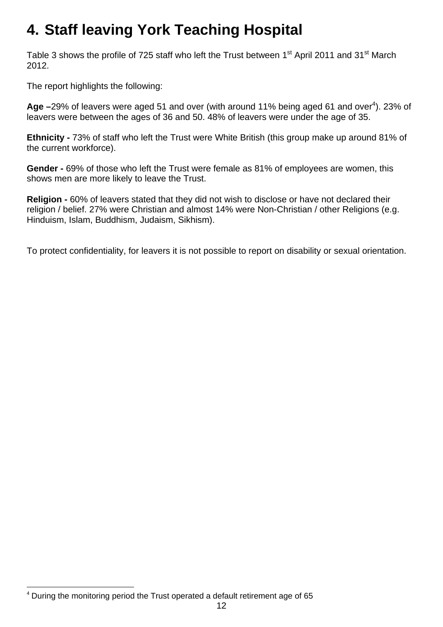# **4. Staff leaving York Teaching Hospital**

Table 3 shows the profile of 725 staff who left the Trust between 1<sup>st</sup> April 2011 and 31<sup>st</sup> March 2012.

The report highlights the following:

Age -29% of leavers were aged 51 and over (with around 11% being aged 61 and over<sup>4</sup>). 23% of leavers were between the ages of 36 and 50. 48% of leavers were under the age of 35.

**Ethnicity -** 73% of staff who left the Trust were White British (this group make up around 81% of the current workforce).

**Gender -** 69% of those who left the Trust were female as 81% of employees are women, this shows men are more likely to leave the Trust.

**Religion -** 60% of leavers stated that they did not wish to disclose or have not declared their religion / belief. 27% were Christian and almost 14% were Non-Christian / other Religions (e.g. Hinduism, Islam, Buddhism, Judaism, Sikhism).

To protect confidentiality, for leavers it is not possible to report on disability or sexual orientation.

<sup>1</sup> <sup>4</sup> During the monitoring period the Trust operated a default retirement age of 65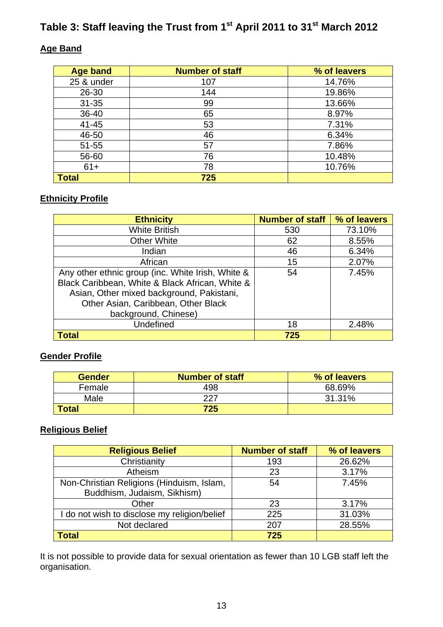## Table 3: Staff leaving the Trust from 1<sup>st</sup> April 2011 to 31<sup>st</sup> March 2012

#### **Age Band**

| <b>Age band</b> | <b>Number of staff</b> | % of leavers |
|-----------------|------------------------|--------------|
| 25 & under      | 107                    | 14.76%       |
| 26-30           | 144                    | 19.86%       |
| $31 - 35$       | 99                     | 13.66%       |
| 36-40           | 65                     | 8.97%        |
| $41 - 45$       | 53                     | 7.31%        |
| 46-50           | 46                     | 6.34%        |
| $51 - 55$       | 57                     | 7.86%        |
| 56-60           | 76                     | 10.48%       |
| $61+$           | 78                     | 10.76%       |
| <b>Total</b>    | 725                    |              |

#### **Ethnicity Profile**

| <b>Ethnicity</b>                                  | <b>Number of staff</b> | % of leavers |
|---------------------------------------------------|------------------------|--------------|
| <b>White British</b>                              | 530                    | 73.10%       |
| <b>Other White</b>                                | 62                     | 8.55%        |
| Indian                                            | 46                     | 6.34%        |
| African                                           | 15                     | 2.07%        |
| Any other ethnic group (inc. White Irish, White & | 54                     | 7.45%        |
| Black Caribbean, White & Black African, White &   |                        |              |
| Asian, Other mixed background, Pakistani,         |                        |              |
| Other Asian, Caribbean, Other Black               |                        |              |
| background, Chinese)                              |                        |              |
| Undefined                                         | 18                     | 2.48%        |
| <b>Total</b>                                      | 725                    |              |

#### **Gender Profile**

| Gender       | <b>Number of staff</b> | % of leavers |
|--------------|------------------------|--------------|
| Female       | 498                    | 68.69%       |
| Male         | 227                    | 31.31%       |
| <b>Total</b> | 725                    |              |

## **Religious Belief**

| <b>Religious Belief</b>                      | <b>Number of staff</b> | % of leavers |
|----------------------------------------------|------------------------|--------------|
| Christianity                                 | 193                    | 26.62%       |
| Atheism                                      | 23                     | 3.17%        |
| Non-Christian Religions (Hinduism, Islam,    | 54                     | 7.45%        |
| Buddhism, Judaism, Sikhism)                  |                        |              |
| Other                                        | 23                     | 3.17%        |
| I do not wish to disclose my religion/belief | 225                    | 31.03%       |
| Not declared                                 | 207                    | 28.55%       |
| <b>Total</b>                                 | 725                    |              |

It is not possible to provide data for sexual orientation as fewer than 10 LGB staff left the organisation.